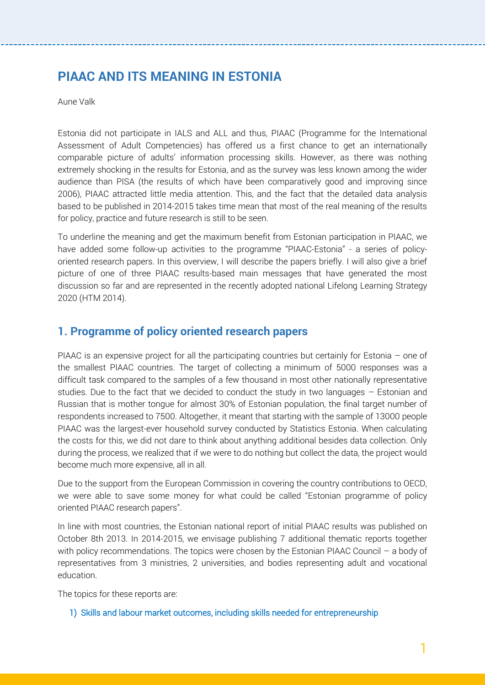# **PIAAC AND ITS MEANING IN ESTONIA**

Aune Valk

Estonia did not participate in IALS and ALL and thus, PIAAC (Programme for the International Assessment of Adult Competencies) has offered us a first chance to get an internationally comparable picture of adults' information processing skills. However, as there was nothing extremely shocking in the results for Estonia, and as the survey was less known among the wider audience than PISA (the results of which have been comparatively good and improving since 2006), PIAAC attracted little media attention. This, and the fact that the detailed data analysis based to be published in 2014-2015 takes time mean that most of the real meaning of the results for policy, practice and future research is still to be seen.

To underline the meaning and get the maximum benefit from Estonian participation in PIAAC, we have added some follow-up activities to the programme "PIAAC-Estonia" - a series of policyoriented research papers. In this overview, I will describe the papers briefly. I will also give a brief picture of one of three PIAAC results-based main messages that have generated the most discussion so far and are represented in the recently adopted national Lifelong Learning Strategy 2020 (HTM 2014).

## **1. Programme of policy oriented research papers**

PIAAC is an expensive project for all the participating countries but certainly for Estonia – one of the smallest PIAAC countries. The target of collecting a minimum of 5000 responses was a difficult task compared to the samples of a few thousand in most other nationally representative studies. Due to the fact that we decided to conduct the study in two languages – Estonian and Russian that is mother tongue for almost 30% of Estonian population, the final target number of respondents increased to 7500. Altogether, it meant that starting with the sample of 13000 people PIAAC was the largest-ever household survey conducted by Statistics Estonia. When calculating the costs for this, we did not dare to think about anything additional besides data collection. Only during the process, we realized that if we were to do nothing but collect the data, the project would become much more expensive, all in all.

Due to the support from the European Commission in covering the country contributions to OECD, we were able to save some money for what could be called "Estonian programme of policy oriented PIAAC research papers".

In line with most countries, the Estonian national report of initial PIAAC results was published on October 8th 2013. In 2014-2015, we envisage publishing 7 additional thematic reports together with policy recommendations. The topics were chosen by the Estonian PIAAC Council – a body of representatives from 3 ministries, 2 universities, and bodies representing adult and vocational education.

The topics for these reports are:

1) Skills and labour market outcomes, including skills needed for entrepreneurship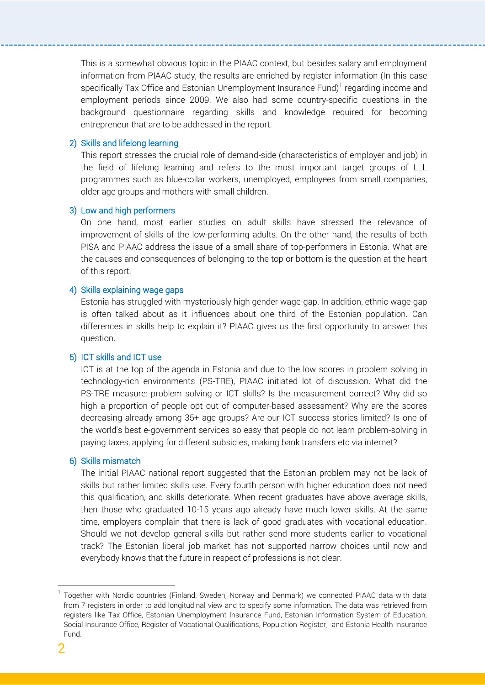This is a somewhat obvious topic in the PIAAC context, but besides salary and employment information from PIAAC study, the results are enriched by register information (In this case specifically Tax Office and Estonian Unemployment Insurance Fund) $^1$  regarding income and employment periods since 2009. We also had some country-specific questions in the background questionnaire regarding skills and knowledge required for becoming entrepreneur that are to be addressed in the report.

### 2) Skills and lifelong learning

This report stresses the crucial role of demand-side (characteristics of employer and job) in the field of lifelong learning and refers to the most important target groups of LLL programmes such as blue-collar workers, unemployed, employees from small companies, older age groups and mothers with small children.

### 3) Low and high performers

On one hand, most earlier studies on adult skills have stressed the relevance of improvement of skills of the low-performing adults. On the other hand, the results of both PISA and PIAAC address the issue of a small share of top-performers in Estonia. What are the causes and consequences of belonging to the top or bottom is the question at the heart of this report.

#### 4) Skills explaining wage gaps

Estonia has struggled with mysteriously high gender wage-gap. In addition, ethnic wage-gap is often talked about as it influences about one third of the Estonian population. Can differences in skills help to explain it? PIAAC gives us the first opportunity to answer this question.

#### 5) ICT skills and ICT use

ICT is at the top of the agenda in Estonia and due to the low scores in problem solving in technology-rich environments (PS-TRE), PIAAC initiated lot of discussion. What did the PS-TRE measure: problem solving or ICT skills? Is the measurement correct? Why did so high a proportion of people opt out of computer-based assessment? Why are the scores decreasing already among 35+ age groups? Are our ICT success stories limited? Is one of the world's best e-government services so easy that people do not learn problem-solving in paying taxes, applying for different subsidies, making bank transfers etc via internet?

### 6) Skills mismatch

The initial PIAAC national report suggested that the Estonian problem may not be lack of skills but rather limited skills use. Every fourth person with higher education does not need this qualification, and skills deteriorate. When recent graduates have above average skills, then those who graduated 10-15 years ago already have much lower skills. At the same time, employers complain that there is lack of good graduates with vocational education. Should we not develop general skills but rather send more students earlier to vocational track? The Estonian liberal job market has not supported narrow choices until now and everybody knows that the future in respect of professions is not clear.

l

<sup>1</sup> Together with Nordic countries (Finland, Sweden, Norway and Denmark) we connected PIAAC data with data from 7 registers in order to add longitudinal view and to specify some information. The data was retrieved from registers like Tax Office, Estonian Unemployment Insurance Fund, Estonian Information System of Education, Social Insurance Office, Register of Vocational Qualifications, Population Register, and Estonia Health Insurance Fund.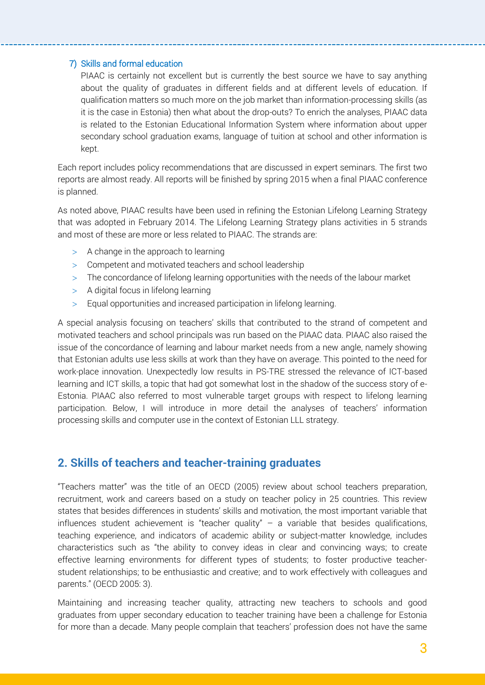## 7) Skills and formal education

PIAAC is certainly not excellent but is currently the best source we have to say anything about the quality of graduates in different fields and at different levels of education. If qualification matters so much more on the job market than information-processing skills (as it is the case in Estonia) then what about the drop-outs? To enrich the analyses, PIAAC data is related to the Estonian Educational Information System where information about upper secondary school graduation exams, language of tuition at school and other information is kept.

Each report includes policy recommendations that are discussed in expert seminars. The first two reports are almost ready. All reports will be finished by spring 2015 when a final PIAAC conference is planned.

As noted above, PIAAC results have been used in refining the Estonian Lifelong Learning Strategy that was adopted in February 2014. The Lifelong Learning Strategy plans activities in 5 strands and most of these are more or less related to PIAAC. The strands are:

- $>$  A change in the approach to learning
- Competent and motivated teachers and school leadership
- The concordance of lifelong learning opportunities with the needs of the labour market
- $>$  A digital focus in lifelong learning
- Equal opportunities and increased participation in lifelong learning.

A special analysis focusing on teachers' skills that contributed to the strand of competent and motivated teachers and school principals was run based on the PIAAC data. PIAAC also raised the issue of the concordance of learning and labour market needs from a new angle, namely showing that Estonian adults use less skills at work than they have on average. This pointed to the need for work-place innovation. Unexpectedly low results in PS-TRE stressed the relevance of ICT-based learning and ICT skills, a topic that had got somewhat lost in the shadow of the success story of e-Estonia. PIAAC also referred to most vulnerable target groups with respect to lifelong learning participation. Below, I will introduce in more detail the analyses of teachers' information processing skills and computer use in the context of Estonian LLL strategy.

## **2. Skills of teachers and teacher-training graduates**

"Teachers matter" was the title of an OECD (2005) review about school teachers preparation, recruitment, work and careers based on a study on teacher policy in 25 countries. This review states that besides differences in students' skills and motivation, the most important variable that influences student achievement is "teacher quality" – a variable that besides qualifications, teaching experience, and indicators of academic ability or subject-matter knowledge, includes characteristics such as "the ability to convey ideas in clear and convincing ways; to create effective learning environments for different types of students; to foster productive teacherstudent relationships; to be enthusiastic and creative; and to work effectively with colleagues and parents." (OECD 2005: 3).

Maintaining and increasing teacher quality, attracting new teachers to schools and good graduates from upper secondary education to teacher training have been a challenge for Estonia for more than a decade. Many people complain that teachers' profession does not have the same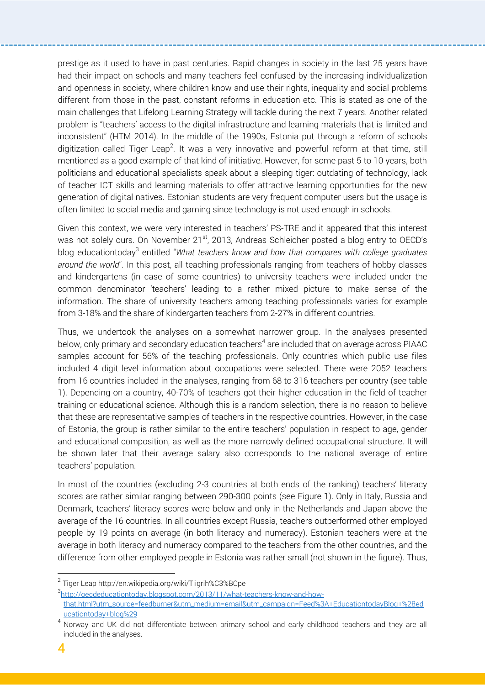prestige as it used to have in past centuries. Rapid changes in society in the last 25 years have had their impact on schools and many teachers feel confused by the increasing individualization and openness in society, where children know and use their rights, inequality and social problems different from those in the past, constant reforms in education etc. This is stated as one of the main challenges that Lifelong Learning Strategy will tackle during the next 7 years. Another related problem is "teachers' access to the digital infrastructure and learning materials that is limited and inconsistent" (HTM 2014). In the middle of the 1990s, Estonia put through a reform of schools digitization called Tiger Leap<sup>2</sup>. It was a very innovative and powerful reform at that time, still mentioned as a good example of that kind of initiative. However, for some past 5 to 10 years, both politicians and educational specialists speak about a sleeping tiger: outdating of technology, lack of teacher ICT skills and learning materials to offer attractive learning opportunities for the new generation of digital natives. Estonian students are very frequent computer users but the usage is often limited to social media and gaming since technology is not used enough in schools.

Given this context, we were very interested in teachers' PS-TRE and it appeared that this interest was not solely ours. On November 21<sup>st</sup>, 2013, Andreas Schleicher posted a blog entry to OECD's blog educationtoday<sup>3</sup> entitled "What teachers know and how that compares with college graduates *around the world*". In this post, all teaching professionals ranging from teachers of hobby classes and kindergartens (in case of some countries) to university teachers were included under the common denominator 'teachers' leading to a rather mixed picture to make sense of the information. The share of university teachers among teaching professionals varies for example from 3-18% and the share of kindergarten teachers from 2-27% in different countries.

Thus, we undertook the analyses on a somewhat narrower group. In the analyses presented below, only primary and secondary education teachers $^4$  are included that on average across PIAAC samples account for 56% of the teaching professionals. Only countries which public use files included 4 digit level information about occupations were selected. There were 2052 teachers from 16 countries included in the analyses, ranging from 68 to 316 teachers per country (see table 1). Depending on a country, 40-70% of teachers got their higher education in the field of teacher training or educational science. Although this is a random selection, there is no reason to believe that these are representative samples of teachers in the respective countries. However, in the case of Estonia, the group is rather similar to the entire teachers' population in respect to age, gender and educational composition, as well as the more narrowly defined occupational structure. It will be shown later that their average salary also corresponds to the national average of entire teachers' population.

In most of the countries (excluding 2-3 countries at both ends of the ranking) teachers' literacy scores are rather similar ranging between 290-300 points (see Figure 1). Only in Italy, Russia and Denmark, teachers' literacy scores were below and only in the Netherlands and Japan above the average of the 16 countries. In all countries except Russia, teachers outperformed other employed people by 19 points on average (in both literacy and numeracy). Estonian teachers were at the average in both literacy and numeracy compared to the teachers from the other countries, and the difference from other employed people in Estonia was rather small (not shown in the figure). Thus,

 $\overline{a}$ 

<sup>&</sup>lt;sup>2</sup> Tiger Leap http://en.wikipedia.org/wiki/Tiigrih%C3%BCpe

<sup>3</sup> [http://oecdeducationtoday.blogspot.com/2013/11/what-teachers-know-and-how-](http://oecdeducationtoday.blogspot.com/2013/11/what-teachers-know-and-how-that.html?utm_source=feedburner&utm_medium=email&utm_campaign=Feed%3A+EducationtodayBlog+%28educationtoday+blog%29)

[that.html?utm\\_source=feedburner&utm\\_medium=email&utm\\_campaign=Feed%3A+EducationtodayBlog+%28ed](http://oecdeducationtoday.blogspot.com/2013/11/what-teachers-know-and-how-that.html?utm_source=feedburner&utm_medium=email&utm_campaign=Feed%3A+EducationtodayBlog+%28educationtoday+blog%29) [ucationtoday+blog%29](http://oecdeducationtoday.blogspot.com/2013/11/what-teachers-know-and-how-that.html?utm_source=feedburner&utm_medium=email&utm_campaign=Feed%3A+EducationtodayBlog+%28educationtoday+blog%29)

<sup>&</sup>lt;sup>4</sup> Norway and UK did not differentiate between primary school and early childhood teachers and they are all included in the analyses.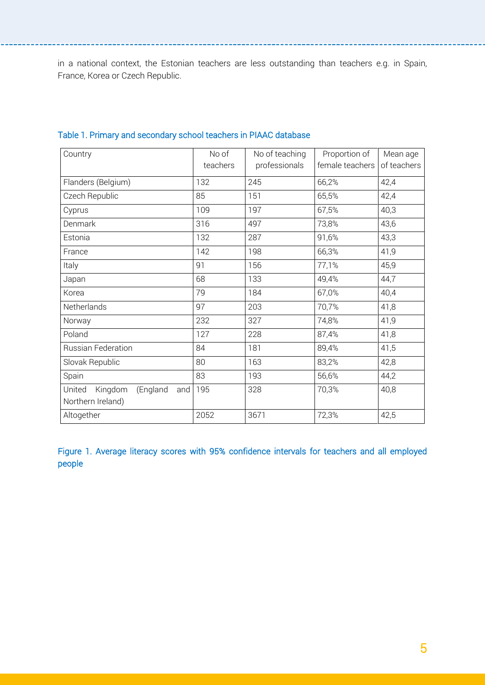in a national context, the Estonian teachers are less outstanding than teachers e.g. in Spain, France, Korea or Czech Republic.

| Country                                                   | No of<br>teachers | No of teaching<br>professionals | Proportion of<br>female teachers | Mean age<br>of teachers |
|-----------------------------------------------------------|-------------------|---------------------------------|----------------------------------|-------------------------|
| Flanders (Belgium)                                        | 132               | 245                             | 66,2%                            | 42,4                    |
| Czech Republic                                            | 85                | 151                             | 65,5%                            | 42,4                    |
| Cyprus                                                    | 109               | 197                             | 67,5%                            | 40,3                    |
| Denmark                                                   | 316               | 497                             | 73,8%                            | 43,6                    |
| Estonia                                                   | 132               | 287                             | 91,6%                            | 43,3                    |
| France                                                    | 142               | 198                             | 66,3%                            | 41,9                    |
| Italy                                                     | 91                | 156                             | 77,1%                            | 45,9                    |
| Japan                                                     | 68                | 133                             | 49,4%                            | 44,7                    |
| Korea                                                     | 79                | 184                             | 67,0%                            | 40,4                    |
| Netherlands                                               | 97                | 203                             | 70,7%                            | 41,8                    |
| Norway                                                    | 232               | 327                             | 74,8%                            | 41,9                    |
| Poland                                                    | 127               | 228                             | 87,4%                            | 41,8                    |
| <b>Russian Federation</b>                                 | 84                | 181                             | 89,4%                            | 41,5                    |
| Slovak Republic                                           | 80                | 163                             | 83,2%                            | 42,8                    |
| Spain                                                     | 83                | 193                             | 56,6%                            | 44,2                    |
| United<br>Kingdom<br>(England<br>and<br>Northern Ireland) | 195               | 328                             | 70,3%                            | 40,8                    |
| Altogether                                                | 2052              | 3671                            | 72,3%                            | 42,5                    |

## Table 1. Primary and secondary school teachers in PIAAC database

Figure 1. Average literacy scores with 95% confidence intervals for teachers and all employed people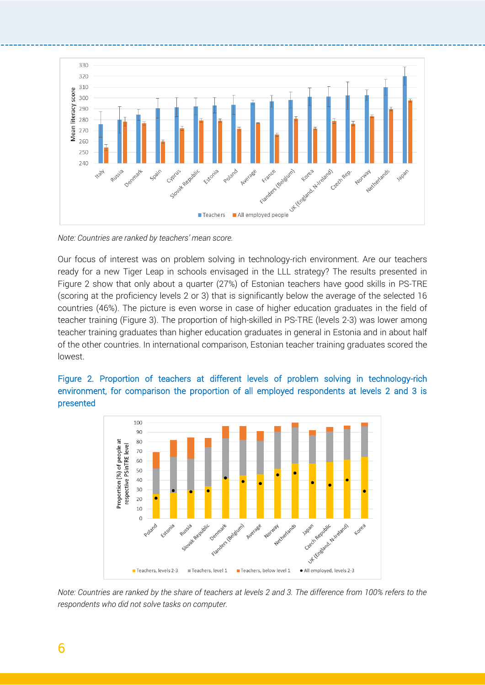

*Note: Countries are ranked by teachers' mean score.* 

Our focus of interest was on problem solving in technology-rich environment. Are our teachers ready for a new Tiger Leap in schools envisaged in the LLL strategy? The results presented in Figure 2 show that only about a quarter (27%) of Estonian teachers have good skills in PS-TRE (scoring at the proficiency levels 2 or 3) that is significantly below the average of the selected 16 countries (46%). The picture is even worse in case of higher education graduates in the field of teacher training (Figure 3). The proportion of high-skilled in PS-TRE (levels 2-3) was lower among teacher training graduates than higher education graduates in general in Estonia and in about half of the other countries. In international comparison, Estonian teacher training graduates scored the lowest.



Figure 2. Proportion of teachers at different levels of problem solving in technology-rich environment, for comparison the proportion of all employed respondents at levels 2 and 3 is presented

*Note: Countries are ranked by the share of teachers at levels 2 and 3. The difference from 100% refers to the respondents who did not solve tasks on computer.*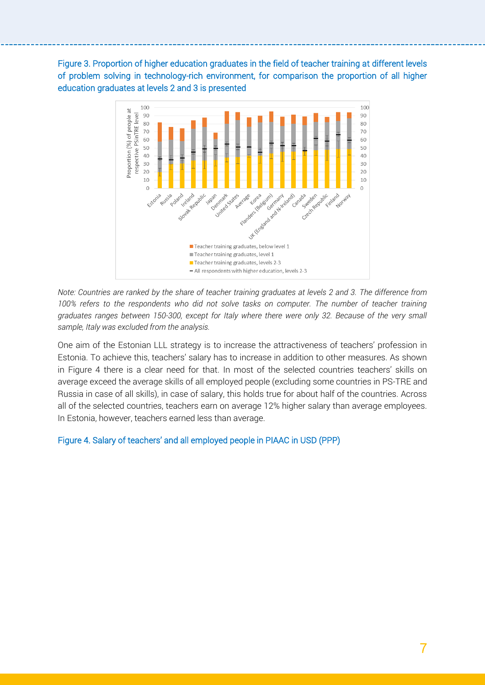Figure 3. Proportion of higher education graduates in the field of teacher training at different levels of problem solving in technology-rich environment, for comparison the proportion of all higher education graduates at levels 2 and 3 is presented



*Note: Countries are ranked by the share of teacher training graduates at levels 2 and 3. The difference from 100% refers to the respondents who did not solve tasks on computer. The number of teacher training graduates ranges between 150-300, except for Italy where there were only 32. Because of the very small sample, Italy was excluded from the analysis.*

One aim of the Estonian LLL strategy is to increase the attractiveness of teachers' profession in Estonia. To achieve this, teachers' salary has to increase in addition to other measures. As shown in Figure 4 there is a clear need for that. In most of the selected countries teachers' skills on average exceed the average skills of all employed people (excluding some countries in PS-TRE and Russia in case of all skills), in case of salary, this holds true for about half of the countries. Across all of the selected countries, teachers earn on average 12% higher salary than average employees. In Estonia, however, teachers earned less than average.

### Figure 4. Salary of teachers' and all employed people in PIAAC in USD (PPP)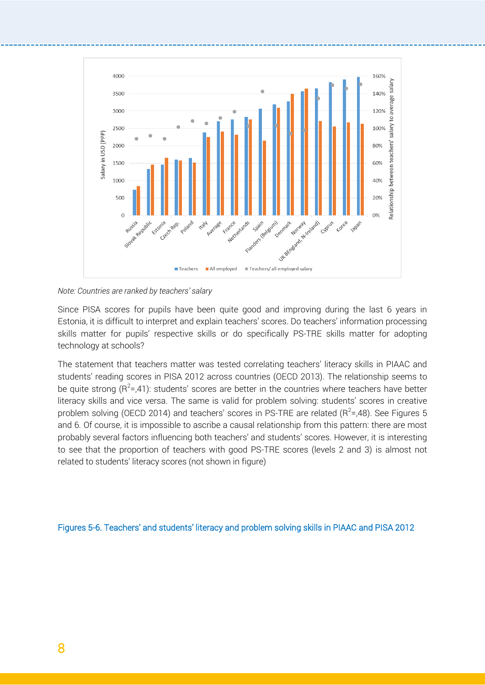

*Note: Countries are ranked by teachers' salary*

Since PISA scores for pupils have been quite good and improving during the last 6 years in Estonia, it is difficult to interpret and explain teachers' scores. Do teachers' information processing skills matter for pupils' respective skills or do specifically PS-TRE skills matter for adopting technology at schools?

The statement that teachers matter was tested correlating teachers' literacy skills in PIAAC and students' reading scores in PISA 2012 across countries (OECD 2013). The relationship seems to be quite strong (R<sup>2</sup>=,41): students' scores are better in the countries where teachers have better literacy skills and vice versa. The same is valid for problem solving: students' scores in creative problem solving (OECD 2014) and teachers' scores in PS-TRE are related (R<sup>2</sup>=,48). See Figures 5 and 6. Of course, it is impossible to ascribe a causal relationship from this pattern: there are most probably several factors influencing both teachers' and students' scores. However, it is interesting to see that the proportion of teachers with good PS-TRE scores (levels 2 and 3) is almost not related to students' literacy scores (not shown in figure)

Figures 5-6. Teachers' and students' literacy and problem solving skills in PIAAC and PISA 2012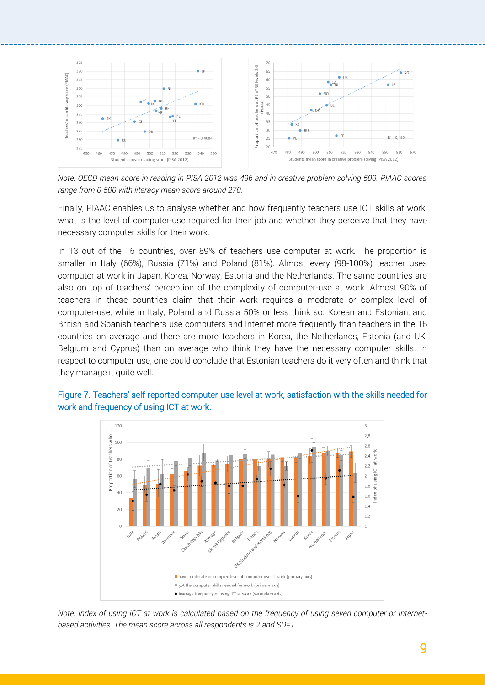

*Note: OECD mean score in reading in PISA 2012 was 496 and in creative problem solving 500. PIAAC scores range from 0-500 with literacy mean score around 270.*

Finally, PIAAC enables us to analyse whether and how frequently teachers use ICT skills at work, what is the level of computer-use required for their job and whether they perceive that they have necessary computer skills for their work.

In 13 out of the 16 countries, over 89% of teachers use computer at work. The proportion is smaller in Italy (66%), Russia (71%) and Poland (81%). Almost every (98-100%) teacher uses computer at work in Japan, Korea, Norway, Estonia and the Netherlands. The same countries are also on top of teachers' perception of the complexity of computer-use at work. Almost 90% of teachers in these countries claim that their work requires a moderate or complex level of computer-use, while in Italy, Poland and Russia 50% or less think so. Korean and Estonian, and British and Spanish teachers use computers and Internet more frequently than teachers in the 16 countries on average and there are more teachers in Korea, the Netherlands, Estonia (and UK, Belgium and Cyprus) than on average who think they have the necessary computer skills. In respect to computer use, one could conclude that Estonian teachers do it very often and think that they manage it quite well.





*Note: Index of using ICT at work is calculated based on the frequency of using seven computer or Internetbased activities. The mean score across all respondents is 2 and SD=1.*